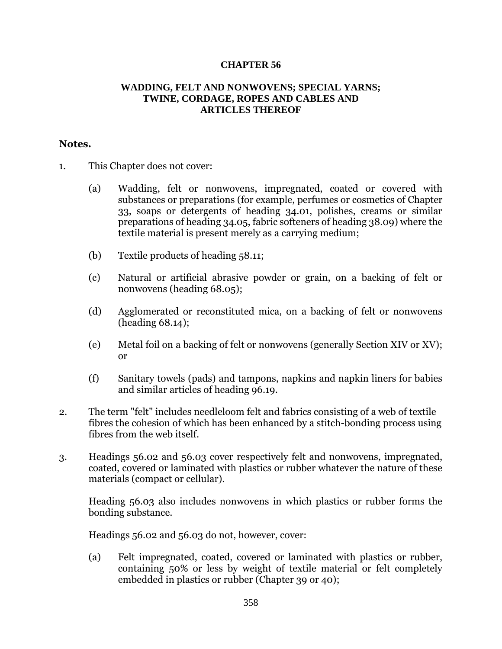## **CHAPTER 56**

## **WADDING, FELT AND NONWOVENS; SPECIAL YARNS; TWINE, CORDAGE, ROPES AND CABLES AND ARTICLES THEREOF**

## **Notes.**

- 1. This Chapter does not cover:
	- (a) Wadding, felt or nonwovens, impregnated, coated or covered with substances or preparations (for example, perfumes or cosmetics of Chapter 33, soaps or detergents of heading 34.01, polishes, creams or similar preparations of heading 34.05, fabric softeners of heading 38.09) where the textile material is present merely as a carrying medium;
	- (b) Textile products of heading 58.11;
	- (c) Natural or artificial abrasive powder or grain, on a backing of felt or nonwovens (heading 68.05);
	- (d) Agglomerated or reconstituted mica, on a backing of felt or nonwovens (heading 68.14);
	- (e) Metal foil on a backing of felt or nonwovens (generally Section XIV or XV); or
	- (f) Sanitary towels (pads) and tampons, napkins and napkin liners for babies and similar articles of heading 96.19.
- 2. The term "felt" includes needleloom felt and fabrics consisting of a web of textile fibres the cohesion of which has been enhanced by a stitch-bonding process using fibres from the web itself.
- 3. Headings 56.02 and 56.03 cover respectively felt and nonwovens, impregnated, coated, covered or laminated with plastics or rubber whatever the nature of these materials (compact or cellular).

Heading 56.03 also includes nonwovens in which plastics or rubber forms the bonding substance.

Headings 56.02 and 56.03 do not, however, cover:

(a) Felt impregnated, coated, covered or laminated with plastics or rubber, containing 50% or less by weight of textile material or felt completely embedded in plastics or rubber (Chapter 39 or 40);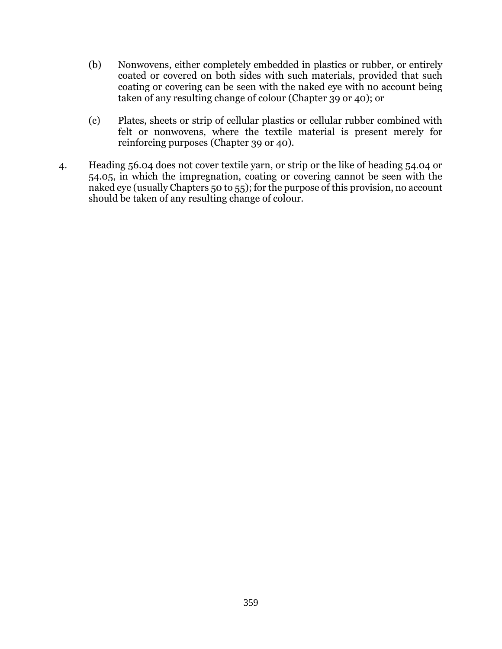- (b) Nonwovens, either completely embedded in plastics or rubber, or entirely coated or covered on both sides with such materials, provided that such coating or covering can be seen with the naked eye with no account being taken of any resulting change of colour (Chapter 39 or 40); or
- (c) Plates, sheets or strip of cellular plastics or cellular rubber combined with felt or nonwovens, where the textile material is present merely for reinforcing purposes (Chapter 39 or 40).
- 4. Heading 56.04 does not cover textile yarn, or strip or the like of heading 54.04 or 54.05, in which the impregnation, coating or covering cannot be seen with the naked eye (usually Chapters 50 to 55); for the purpose of this provision, no account should be taken of any resulting change of colour.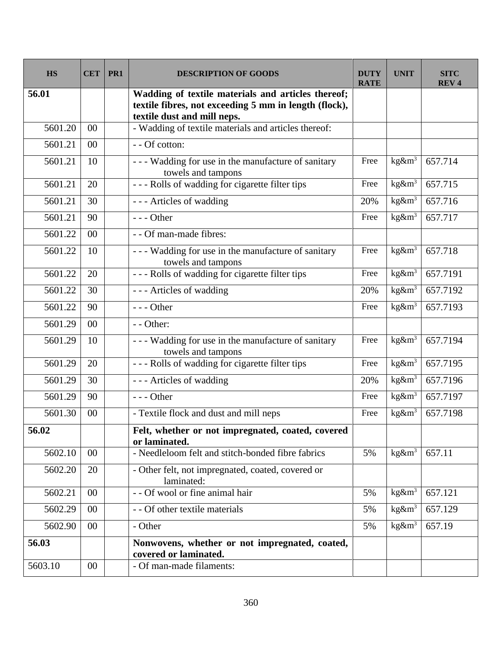| <b>HS</b> | <b>CET</b>     | PR1 | <b>DESCRIPTION OF GOODS</b>                                                                                                                | <b>DUTY</b><br><b>RATE</b> | <b>UNIT</b> | SITC<br><b>REV4</b> |
|-----------|----------------|-----|--------------------------------------------------------------------------------------------------------------------------------------------|----------------------------|-------------|---------------------|
| 56.01     |                |     | Wadding of textile materials and articles thereof;<br>textile fibres, not exceeding 5 mm in length (flock),<br>textile dust and mill neps. |                            |             |                     |
| 5601.20   | 00             |     | - Wadding of textile materials and articles thereof:                                                                                       |                            |             |                     |
| 5601.21   | 00             |     | $\overline{-}$ - Of cotton:                                                                                                                |                            |             |                     |
| 5601.21   | 10             |     | --- Wadding for use in the manufacture of sanitary<br>towels and tampons                                                                   | Free                       | $kg\&m3$    | 657.714             |
| 5601.21   | 20             |     | --- Rolls of wadding for cigarette filter tips                                                                                             | Free                       | $kg\&m3$    | 657.715             |
| 5601.21   | 30             |     | --- Articles of wadding                                                                                                                    | 20%                        | $kg\&m3$    | 657.716             |
| 5601.21   | 90             |     | $--$ Other                                                                                                                                 | Free                       | $kg\&m3$    | 657.717             |
| 5601.22   | 0 <sub>0</sub> |     | - - Of man-made fibres:                                                                                                                    |                            |             |                     |
| 5601.22   | 10             |     | --- Wadding for use in the manufacture of sanitary<br>towels and tampons                                                                   | Free                       | $kg\&m^3$   | 657.718             |
| 5601.22   | 20             |     | --- Rolls of wadding for cigarette filter tips                                                                                             | Free                       | $kg\&m3$    | 657.7191            |
| 5601.22   | 30             |     | --- Articles of wadding                                                                                                                    | 20%                        | $kg\&m3$    | 657.7192            |
| 5601.22   | 90             |     | $--$ Other                                                                                                                                 | Free                       | $kg\&m3$    | 657.7193            |
| 5601.29   | 00             |     | - - Other:                                                                                                                                 |                            |             |                     |
| 5601.29   | 10             |     | --- Wadding for use in the manufacture of sanitary<br>towels and tampons                                                                   | Free                       | $kg\&m3$    | 657.7194            |
| 5601.29   | 20             |     | --- Rolls of wadding for cigarette filter tips                                                                                             | Free                       | $kg\&m3$    | 657.7195            |
| 5601.29   | 30             |     | --- Articles of wadding                                                                                                                    | 20%                        | $kg\&m3$    | 657.7196            |
| 5601.29   | 90             |     | $--$ Other                                                                                                                                 | Free                       | $kg\&m3$    | 657.7197            |
| 5601.30   | 00             |     | - Textile flock and dust and mill neps                                                                                                     | Free                       | $kg\&m3$    | 657.7198            |
| 56.02     |                |     | Felt, whether or not impregnated, coated, covered<br>or laminated.                                                                         |                            |             |                     |
| 5602.10   | $00\,$         |     | - Needleloom felt and stitch-bonded fibre fabrics                                                                                          | 5%                         | $kg\&m^3$   | 657.11              |
| 5602.20   | 20             |     | - Other felt, not impregnated, coated, covered or<br>laminated:                                                                            |                            |             |                     |
| 5602.21   | $00\,$         |     | - - Of wool or fine animal hair                                                                                                            | 5%                         | $kg\&m3$    | 657.121             |
| 5602.29   | $00\,$         |     | - - Of other textile materials                                                                                                             | 5%                         | $kg\&m3$    | 657.129             |
| 5602.90   | $00\,$         |     | - Other                                                                                                                                    | 5%                         | $kg\&m3$    | 657.19              |
| 56.03     |                |     | Nonwovens, whether or not impregnated, coated,<br>covered or laminated.                                                                    |                            |             |                     |
| 5603.10   | 00             |     | - Of man-made filaments:                                                                                                                   |                            |             |                     |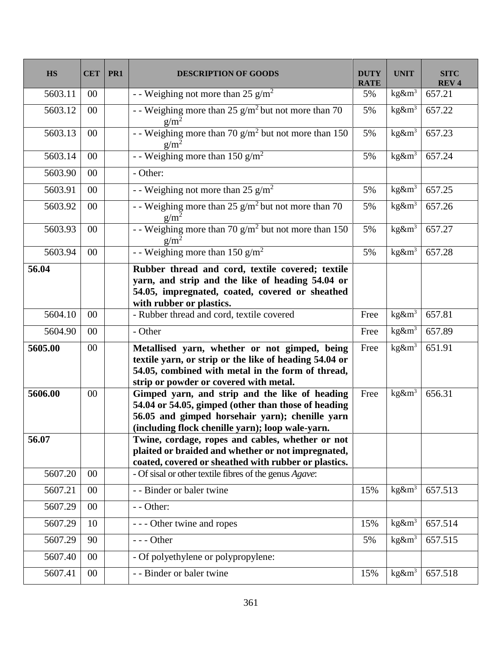| <b>HS</b> | <b>CET</b> | PR1 | <b>DESCRIPTION OF GOODS</b>                                                                                                                                                                                  | <b>DUTY</b><br><b>RATE</b> | <b>UNIT</b> | <b>SITC</b><br><b>REV4</b> |
|-----------|------------|-----|--------------------------------------------------------------------------------------------------------------------------------------------------------------------------------------------------------------|----------------------------|-------------|----------------------------|
| 5603.11   | $00\,$     |     | - - Weighing not more than 25 $g/m^2$                                                                                                                                                                        | 5%                         | $kg\&m3$    | 657.21                     |
| 5603.12   | 00         |     | - - Weighing more than $25$ g/m <sup>2</sup> but not more than 70<br>$g/m^2$                                                                                                                                 | 5%                         | $kg\&m3$    | 657.22                     |
| 5603.13   | 00         |     | - Weighing more than 70 $g/m^2$ but not more than 150<br>$g/m^2$                                                                                                                                             | 5%                         | $kg\&m3$    | 657.23                     |
| 5603.14   | $00\,$     |     | - - Weighing more than 150 $g/m^2$                                                                                                                                                                           | 5%                         | $kg\&m3$    | 657.24                     |
| 5603.90   | 00         |     | - Other:                                                                                                                                                                                                     |                            |             |                            |
| 5603.91   | $00\,$     |     | - - Weighing not more than 25 $g/m^2$                                                                                                                                                                        | 5%                         | $kg\&m3$    | 657.25                     |
| 5603.92   | 00         |     | - - Weighing more than $25$ g/m <sup>2</sup> but not more than 70<br>$g/m^2$                                                                                                                                 | 5%                         | $kg\&m3$    | 657.26                     |
| 5603.93   | 00         |     | - - Weighing more than $70 g/m^2$ but not more than 150<br>$g/m^2$                                                                                                                                           | 5%                         | $kg\&m3$    | 657.27                     |
| 5603.94   | 00         |     | - - Weighing more than 150 $g/m^2$                                                                                                                                                                           | 5%                         | $kg\&m3$    | 657.28                     |
| 56.04     |            |     | Rubber thread and cord, textile covered; textile<br>yarn, and strip and the like of heading 54.04 or<br>54.05, impregnated, coated, covered or sheathed<br>with rubber or plastics.                          |                            |             |                            |
| 5604.10   | 00         |     | - Rubber thread and cord, textile covered                                                                                                                                                                    | Free                       | $kg\&m3$    | 657.81                     |
| 5604.90   | 00         |     | - Other                                                                                                                                                                                                      | Free                       | $kg\&m3$    | 657.89                     |
| 5605.00   | 00         |     | Metallised yarn, whether or not gimped, being<br>textile yarn, or strip or the like of heading 54.04 or<br>54.05, combined with metal in the form of thread,<br>strip or powder or covered with metal.       | Free                       | $kg\&m3$    | 651.91                     |
| 5606.00   | 00         |     | Gimped yarn, and strip and the like of heading<br>54.04 or 54.05, gimped (other than those of heading<br>56.05 and gimped horsehair yarn); chenille yarn<br>(including flock chenille yarn); loop wale-yarn. | Free                       | $kg\&m3$    | 656.31                     |
| 56.07     |            |     | Twine, cordage, ropes and cables, whether or not<br>plaited or braided and whether or not impregnated,<br>coated, covered or sheathed with rubber or plastics.                                               |                            |             |                            |
| 5607.20   | $00\,$     |     | - Of sisal or other textile fibres of the genus Agave:                                                                                                                                                       |                            |             |                            |
| 5607.21   | 00         |     | - - Binder or baler twine                                                                                                                                                                                    | 15%                        | $kg\&m3$    | 657.513                    |
| 5607.29   | 00         |     | - - Other:                                                                                                                                                                                                   |                            |             |                            |
| 5607.29   | 10         |     | - - - Other twine and ropes                                                                                                                                                                                  | 15%                        | $kg\&m3$    | 657.514                    |
| 5607.29   | 90         |     | $--- Other$                                                                                                                                                                                                  | 5%                         | $kg\&m3$    | 657.515                    |
| 5607.40   | 00         |     | - Of polyethylene or polypropylene:                                                                                                                                                                          |                            |             |                            |
| 5607.41   | $00\,$     |     | - - Binder or baler twine                                                                                                                                                                                    | 15%                        | $kg\&m3$    | 657.518                    |